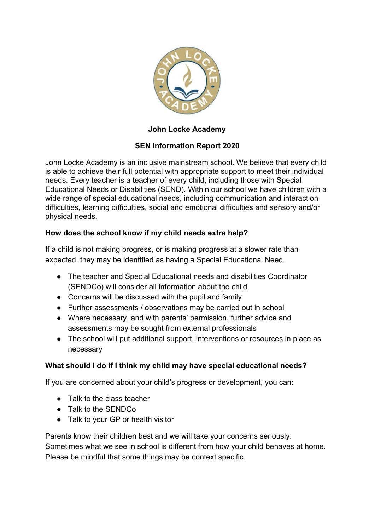

# **John Locke Academy**

# **SEN Information Report 2020**

John Locke Academy is an inclusive mainstream school. We believe that every child is able to achieve their full potential with appropriate support to meet their individual needs. Every teacher is a teacher of every child, including those with Special Educational Needs or Disabilities (SEND). Within our school we have children with a wide range of special educational needs, including communication and interaction difficulties, learning difficulties, social and emotional difficulties and sensory and/or physical needs.

#### **How does the school know if my child needs extra help?**

If a child is not making progress, or is making progress at a slower rate than expected, they may be identified as having a Special Educational Need.

- The teacher and Special Educational needs and disabilities Coordinator (SENDCo) will consider all information about the child
- Concerns will be discussed with the pupil and family
- Further assessments / observations may be carried out in school
- Where necessary, and with parents' permission, further advice and assessments may be sought from external professionals
- The school will put additional support, interventions or resources in place as necessary

#### **What should I do if I think my child may have special educational needs?**

If you are concerned about your child's progress or development, you can:

- Talk to the class teacher
- Talk to the SENDCo
- Talk to your GP or health visitor

Parents know their children best and we will take your concerns seriously. Sometimes what we see in school is different from how your child behaves at home. Please be mindful that some things may be context specific.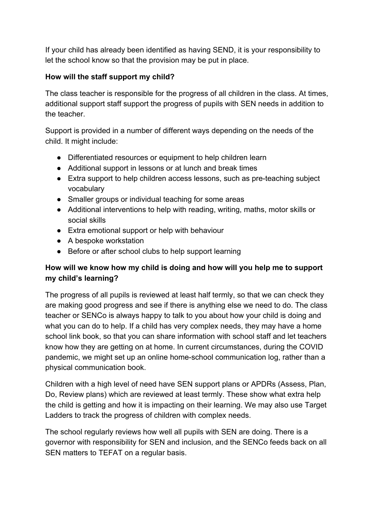If your child has already been identified as having SEND, it is your responsibility to let the school know so that the provision may be put in place.

# **How will the staff support my child?**

The class teacher is responsible for the progress of all children in the class. At times, additional support staff support the progress of pupils with SEN needs in addition to the teacher.

Support is provided in a number of different ways depending on the needs of the child. It might include:

- Differentiated resources or equipment to help children learn
- Additional support in lessons or at lunch and break times
- Extra support to help children access lessons, such as pre-teaching subject vocabulary
- Smaller groups or individual teaching for some areas
- Additional interventions to help with reading, writing, maths, motor skills or social skills
- Extra emotional support or help with behaviour
- A bespoke workstation
- Before or after school clubs to help support learning

# **How will we know how my child is doing and how will you help me to support my child's learning?**

The progress of all pupils is reviewed at least half termly, so that we can check they are making good progress and see if there is anything else we need to do. The class teacher or SENCo is always happy to talk to you about how your child is doing and what you can do to help. If a child has very complex needs, they may have a home school link book, so that you can share information with school staff and let teachers know how they are getting on at home. In current circumstances, during the COVID pandemic, we might set up an online home-school communication log, rather than a physical communication book.

Children with a high level of need have SEN support plans or APDRs (Assess, Plan, Do, Review plans) which are reviewed at least termly. These show what extra help the child is getting and how it is impacting on their learning. We may also use Target Ladders to track the progress of children with complex needs.

The school regularly reviews how well all pupils with SEN are doing. There is a governor with responsibility for SEN and inclusion, and the SENCo feeds back on all SEN matters to TEFAT on a regular basis.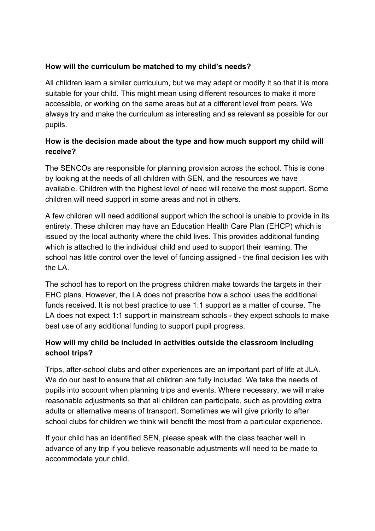## **How will the curriculum be matched to my child's needs?**

All children learn a similar curriculum, but we may adapt or modify it so that it is more suitable for your child. This might mean using different resources to make it more accessible, or working on the same areas but at a different level from peers. We always try and make the curriculum as interesting and as relevant as possible for our pupils.

# **How is the decision made about the type and how much support my child will receive?**

The SENCOs are responsible for planning provision across the school. This is done by looking at the needs of all children with SEN, and the resources we have available. Children with the highest level of need will receive the most support. Some children will need support in some areas and not in others.

A few children will need additional support which the school is unable to provide in its entirety. These children may have an Education Health Care Plan (EHCP) which is issued by the local authority where the child lives. This provides additional funding which is attached to the individual child and used to support their learning. The school has little control over the level of funding assigned - the final decision lies with the LA.

The school has to report on the progress children make towards the targets in their EHC plans. However, the LA does not prescribe how a school uses the additional funds received. It is not best practice to use 1:1 support as a matter of course. The LA does not expect 1:1 support in mainstream schools - they expect schools to make best use of any additional funding to support pupil progress.

# **How will my child be included in activities outside the classroom including school trips?**

Trips, after-school clubs and other experiences are an important part of life at JLA. We do our best to ensure that all children are fully included. We take the needs of pupils into account when planning trips and events. Where necessary, we will make reasonable adjustments so that all children can participate, such as providing extra adults or alternative means of transport. Sometimes we will give priority to after school clubs for children we think will benefit the most from a particular experience.

If your child has an identified SEN, please speak with the class teacher well in advance of any trip if you believe reasonable adjustments will need to be made to accommodate your child.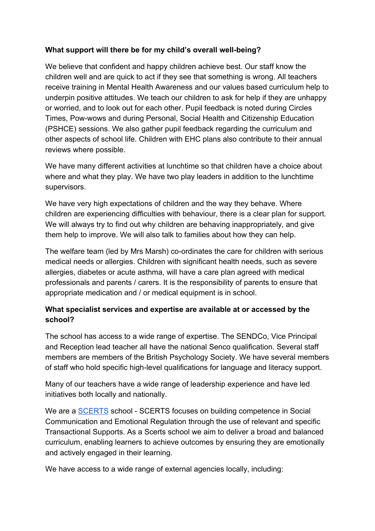# **What support will there be for my child's overall well-being?**

We believe that confident and happy children achieve best. Our staff know the children well and are quick to act if they see that something is wrong. All teachers receive training in Mental Health Awareness and our values based curriculum help to underpin positive attitudes. We teach our children to ask for help if they are unhappy or worried, and to look out for each other. Pupil feedback is noted during Circles Times, Pow-wows and during Personal, Social Health and Citizenship Education (PSHCE) sessions. We also gather pupil feedback regarding the curriculum and other aspects of school life. Children with EHC plans also contribute to their annual reviews where possible.

We have many different activities at lunchtime so that children have a choice about where and what they play. We have two play leaders in addition to the lunchtime supervisors.

We have very high expectations of children and the way they behave. Where children are experiencing difficulties with behaviour, there is a clear plan for support. We will always try to find out why children are behaving inappropriately, and give them help to improve. We will also talk to families about how they can help.

The welfare team (led by Mrs Marsh) co-ordinates the care for children with serious medical needs or allergies. Children with significant health needs, such as severe allergies, diabetes or acute asthma, will have a care plan agreed with medical professionals and parents / carers. It is the responsibility of parents to ensure that appropriate medication and / or medical equipment is in school.

# **What specialist services and expertise are available at or accessed by the school?**

The school has access to a wide range of expertise. The SENDCo, Vice Principal and Reception lead teacher all have the national Senco qualification. Several staff members are members of the British Psychology Society. We have several members of staff who hold specific high-level qualifications for language and literacy support.

Many of our teachers have a wide range of leadership experience and have led initiatives both locally and nationally.

We are a **SCERTS** school - [SCERTS](http://scerts.com/) focuses on building competence in Social Communication and Emotional Regulation through the use of relevant and specific Transactional Supports. As a Scerts school we aim to deliver a broad and balanced curriculum, enabling learners to achieve outcomes by ensuring they are emotionally and actively engaged in their learning.

We have access to a wide range of external agencies locally, including: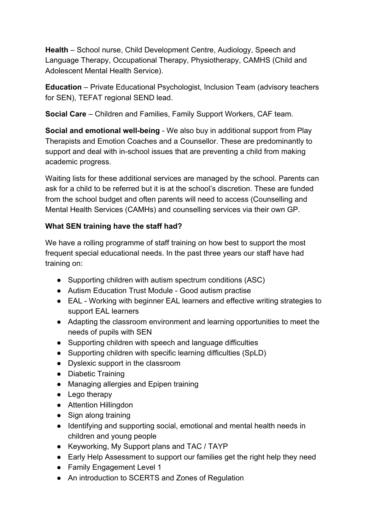**Health** – School nurse, Child Development Centre, Audiology, Speech and Language Therapy, Occupational Therapy, Physiotherapy, CAMHS (Child and Adolescent Mental Health Service).

**Education** – Private Educational Psychologist, Inclusion Team (advisory teachers for SEN), TEFAT regional SEND lead.

**Social Care** – Children and Families, Family Support Workers, CAF team.

**Social and emotional well-being** - We also buy in additional support from Play Therapists and Emotion Coaches and a Counsellor. These are predominantly to support and deal with in-school issues that are preventing a child from making academic progress.

Waiting lists for these additional services are managed by the school. Parents can ask for a child to be referred but it is at the school's discretion. These are funded from the school budget and often parents will need to access (Counselling and Mental Health Services (CAMHs) and counselling services via their own GP.

# **What SEN training have the staff had?**

We have a rolling programme of staff training on how best to support the most frequent special educational needs. In the past three years our staff have had training on:

- Supporting children with autism spectrum conditions (ASC)
- Autism Education Trust Module Good autism practise
- EAL Working with beginner EAL learners and effective writing strategies to support EAL learners
- Adapting the classroom environment and learning opportunities to meet the needs of pupils with SEN
- Supporting children with speech and language difficulties
- Supporting children with specific learning difficulties (SpLD)
- Dyslexic support in the classroom
- Diabetic Training
- Managing allergies and Epipen training
- Lego therapy
- Attention Hillingdon
- Sign along training
- Identifying and supporting social, emotional and mental health needs in children and young people
- Keyworking, My Support plans and TAC / TAYP
- Early Help Assessment to support our families get the right help they need
- Family Engagement Level 1
- An introduction to SCERTS and Zones of Regulation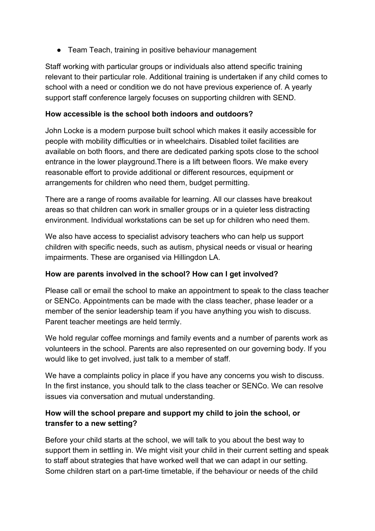● Team Teach, training in positive behaviour management

Staff working with particular groups or individuals also attend specific training relevant to their particular role. Additional training is undertaken if any child comes to school with a need or condition we do not have previous experience of. A yearly support staff conference largely focuses on supporting children with SEND.

### **How accessible is the school both indoors and outdoors?**

John Locke is a modern purpose built school which makes it easily accessible for people with mobility difficulties or in wheelchairs. Disabled toilet facilities are available on both floors, and there are dedicated parking spots close to the school entrance in the lower playground.There is a lift between floors. We make every reasonable effort to provide additional or different resources, equipment or arrangements for children who need them, budget permitting.

There are a range of rooms available for learning. All our classes have breakout areas so that children can work in smaller groups or in a quieter less distracting environment. Individual workstations can be set up for children who need them.

We also have access to specialist advisory teachers who can help us support children with specific needs, such as autism, physical needs or visual or hearing impairments. These are organised via Hillingdon LA.

# **How are parents involved in the school? How can I get involved?**

Please call or email the school to make an appointment to speak to the class teacher or SENCo. Appointments can be made with the class teacher, phase leader or a member of the senior leadership team if you have anything you wish to discuss. Parent teacher meetings are held termly.

We hold regular coffee mornings and family events and a number of parents work as volunteers in the school. Parents are also represented on our governing body. If you would like to get involved, just talk to a member of staff.

We have a complaints policy in place if you have any concerns you wish to discuss. In the first instance, you should talk to the class teacher or SENCo. We can resolve issues via conversation and mutual understanding.

# **How will the school prepare and support my child to join the school, or transfer to a new setting?**

Before your child starts at the school, we will talk to you about the best way to support them in settling in. We might visit your child in their current setting and speak to staff about strategies that have worked well that we can adapt in our setting. Some children start on a part-time timetable, if the behaviour or needs of the child